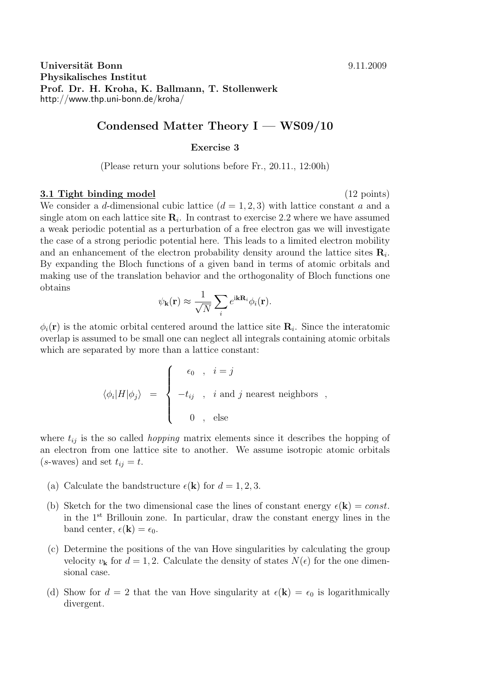**Universität Bonn** 9.11.2009 **Physikalisches Institut Prof. Dr. H. Kroha, K. Ballmann, T. Stollenwerk** http://www.thp.uni-bonn.de/kroha/

## **Condensed Matter Theory I — WS09/10**

## **Exercise 3**

(Please return your solutions before Fr., 20.11., 12:00h)

## **3.1 Tight binding model** (12 points)

We consider a *d*-dimensional cubic lattice  $(d = 1, 2, 3)$  with lattice constant *a* and a single atom on each lattice site  $\mathbf{R}_i$ . In contrast to exercise 2.2 where we have assumed a weak periodic potential as a perturbation of a free electron gas we will investigate the case of a strong periodic potential here. This leads to a limited electron mobility and an enhancement of the electron probability density around the lattice sites **R***<sup>i</sup>* . By expanding the Bloch functions of a given band in terms of atomic orbitals and making use of the translation behavior and the orthogonality of Bloch functions one obtains

$$
\psi_{\mathbf{k}}(\mathbf{r}) \approx \frac{1}{\sqrt{N}} \sum_{i} e^{i\mathbf{k} \mathbf{R}_{i}} \phi_{i}(\mathbf{r}).
$$

 $\phi_i(\mathbf{r})$  is the atomic orbital centered around the lattice site  $\mathbf{R}_i$ . Since the interatomic overlap is assumed to be small one can neglect all integrals containing atomic orbitals which are separated by more than a lattice constant:

$$
\langle \phi_i | H | \phi_j \rangle \;\; = \;\; \left\{ \begin{array}{rcl} \epsilon_0 \;\; , & i = j \\[1mm] -t_{ij} \;\; , & i \mbox{ and } j \mbox{ nearest neighbors } \;\; , \\[1mm] 0 \;\; , & \mbox{else} \end{array} \right.
$$

where  $t_{ij}$  is the so called *hopping* matrix elements since it describes the hopping of an electron from one lattice site to another. We assume isotropic atomic orbitals  $(s$ -waves) and set  $t_{ij} = t$ .

- (a) Calculate the bandstructure  $\epsilon(\mathbf{k})$  for  $d = 1, 2, 3$ .
- (b) Sketch for the two dimensional case the lines of constant energy  $\epsilon(\mathbf{k}) = const.$ in the 1st Brillouin zone. In particular, draw the constant energy lines in the band center,  $\epsilon(\mathbf{k}) = \epsilon_0$ .
- (c) Determine the positions of the van Hove singularities by calculating the group velocity  $v_{\bf k}$  for  $d = 1, 2$ . Calculate the density of states  $N(\epsilon)$  for the one dimensional case.
- (d) Show for  $d = 2$  that the van Hove singularity at  $\epsilon(\mathbf{k}) = \epsilon_0$  is logarithmically divergent.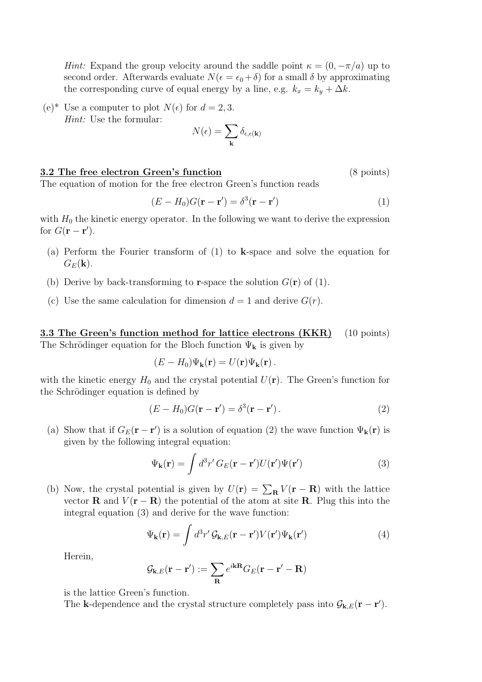*Hint:* Expand the group velocity around the saddle point  $\kappa = (0, -\pi/a)$  up to second order. Afterwards evaluate  $N(\epsilon = \epsilon_0 + \delta)$  for a small  $\delta$  by approximating the corresponding curve of equal energy by a line, e.g.  $k_x = k_y + \Delta k$ .

(e)<sup>\*</sup> Use a computer to plot  $N(\epsilon)$  for  $d = 2, 3$ . *Hint:* Use the formular:

$$
N(\epsilon) = \sum_{\mathbf{k}} \delta_{\epsilon, \epsilon(\mathbf{k})}
$$

## **3.2 The free electron Green's function** (8 points)

The equation of motion for the free electron Green's function reads

$$
(E - H_0)G(\mathbf{r} - \mathbf{r}') = \delta^3(\mathbf{r} - \mathbf{r}')
$$
\n(1)

with  $H_0$  the kinetic energy operator. In the following we want to derive the expression for  $G(\mathbf{r} - \mathbf{r}')$ .

- (a) Perform the Fourier transform of (1) to **k**-space and solve the equation for  $G_E(\mathbf{k})$ .
- (b) Derive by back-transforming to **r**-space the solution  $G(\mathbf{r})$  of (1).
- (c) Use the same calculation for dimension  $d = 1$  and derive  $G(r)$ .

**3.3 The Green's function method for lattice electrons (KKR)** (10 points) The Schrödinger equation for the Bloch function  $\Psi_{\mathbf{k}}$  is given by

$$
(E - H_0)\Psi_{\mathbf{k}}(\mathbf{r}) = U(\mathbf{r})\Psi_{\mathbf{k}}(\mathbf{r}).
$$

with the kinetic energy  $H_0$  and the crystal potential  $U(\mathbf{r})$ . The Green's function for the Schrödinger equation is defined by

$$
(E - H_0)G(\mathbf{r} - \mathbf{r}') = \delta^3(\mathbf{r} - \mathbf{r}'). \tag{2}
$$

(a) Show that if  $G_E(\mathbf{r} - \mathbf{r}')$  is a solution of equation (2) the wave function  $\Psi_{\mathbf{k}}(\mathbf{r})$  is given by the following integral equation:

$$
\Psi_{\mathbf{k}}(\mathbf{r}) = \int d^3 r' \, G_E(\mathbf{r} - \mathbf{r}') U(\mathbf{r}') \Psi(\mathbf{r}')
$$
\n(3)

(b) Now, the crystal potential is given by  $U(\mathbf{r}) = \sum_{\mathbf{R}} V(\mathbf{r} - \mathbf{R})$  with the lattice vector **R** and  $V(\mathbf{r} - \mathbf{R})$  the potential of the atom at site **R**. Plug this into the integral equation (3) and derive for the wave function:

$$
\Psi_{\mathbf{k}}(\mathbf{r}) = \int d^3 r' \mathcal{G}_{\mathbf{k},E}(\mathbf{r} - \mathbf{r}') V(\mathbf{r}') \Psi_{\mathbf{k}}(\mathbf{r}')
$$
(4)

Herein,

$$
\mathcal{G}_{\mathbf{k},E}(\mathbf{r}-\mathbf{r}') := \sum_{\mathbf{R}} e^{i\mathbf{k}\mathbf{R}} G_E(\mathbf{r}-\mathbf{r}'-\mathbf{R})
$$

is the lattice Green's function.

The **k**-dependence and the crystal structure completely pass into  $\mathcal{G}_{\mathbf{k},E}(\mathbf{r} - \mathbf{r}')$ .